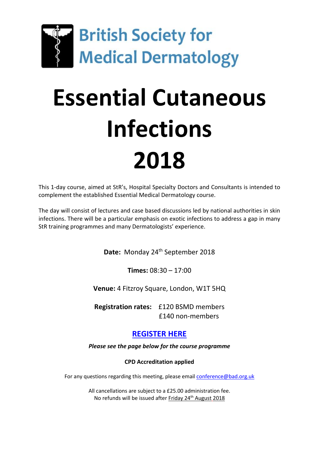

## **Essential Cutaneous Infections 2018**

This 1-day course, aimed at StR's, Hospital Specialty Doctors and Consultants is intended to complement the established Essential Medical Dermatology course.

The day will consist of lectures and case based discussions led by national authorities in skin infections. There will be a particular emphasis on exotic infections to address a gap in many StR training programmes and many Dermatologists' experience.

Date: Monday 24<sup>th</sup> September 2018

**Times:** 08:30 – 17:00

**Venue:** 4 Fitzroy Square, London, W1T 5HQ

**Registration rates:** £120 BSMD members £140 non-members

## **[REGISTER HERE](https://www.eventsforce.net/eci2018)**

*Please see the page below for the course programme*

**CPD Accreditation applied**

For any questions regarding this meeting, please emai[l conference@bad.org.uk](mailto:conference@bad.org.uk)

All cancellations are subject to a £25.00 administration fee. No refunds will be issued after Friday 24<sup>th</sup> August 2018